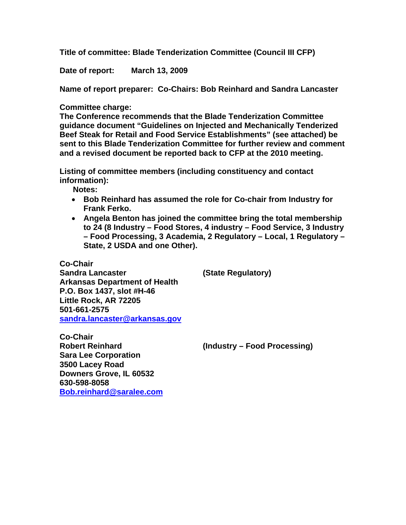**Title of committee: Blade Tenderization Committee (Council III CFP)** 

**Date of report: March 13, 2009** 

**Name of report preparer: Co-Chairs: Bob Reinhard and Sandra Lancaster** 

## **Committee charge:**

**The Conference recommends that the Blade Tenderization Committee guidance document "Guidelines on Injected and Mechanically Tenderized Beef Steak for Retail and Food Service Establishments" (see attached) be sent to this Blade Tenderization Committee for further review and comment and a revised document be reported back to CFP at the 2010 meeting.** 

**Listing of committee members (including constituency and contact information):** 

 **Notes:** 

- **Bob Reinhard has assumed the role for Co-chair from Industry for Frank Ferko.**
- **Angela Benton has joined the committee bring the total membership to 24 (8 Industry – Food Stores, 4 industry – Food Service, 3 Industry – Food Processing, 3 Academia, 2 Regulatory – Local, 1 Regulatory – State, 2 USDA and one Other).**

**Co-Chair Sandra Lancaster (State Regulatory) Arkansas Department of Health P.O. Box 1437, slot #H-46 Little Rock, AR 72205 501-661-2575 [sandra.lancaster@arkansas.gov](mailto:sandra.lancaster@arkansas.gov)**

**Co-Chair Robert Reinhard (Industry – Food Processing) Sara Lee Corporation 3500 Lacey Road Downers Grove, IL 60532 630-598-8058 [Bob.reinhard@saralee.com](mailto:Bob.reinhard@saralee.com)**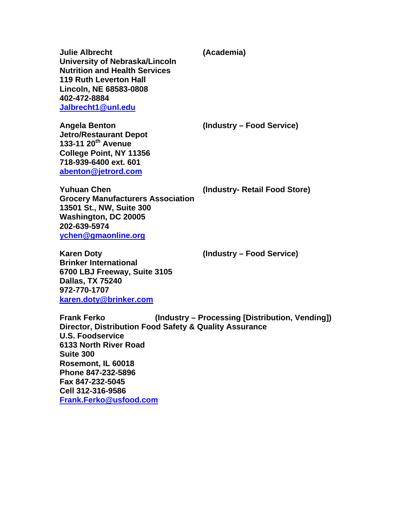**Julie Albrecht (Academia) University of Nebraska/Lincoln Nutrition and Health Services 119 Ruth Leverton Hall Lincoln, NE 68583-0808 402-472-8884 [Jalbrecht1@unl.edu](mailto:Jalbrecht1@unl.edu)**

**Angela Benton (Industry – Food Service)** 

**Jetro/Restaurant Depot 133-11 20th Avenue College Point, NY 11356 718-939-6400 ext. 601 [abenton@jetrord.com](mailto:abenton@jetrord.com)**

**Yuhuan Chen (Industry- Retail Food Store)** 

**Grocery Manufacturers Association 13501 St., NW, Suite 300 Washington, DC 20005 202-639-5974 [ychen@gmaonline.org](mailto:ychen@gmaonline.org)**

**Karen Doty (Industry – Food Service) Brinker International 6700 LBJ Freeway, Suite 3105 Dallas, TX 75240 972-770-1707 [karen.doty@brinker.com](mailto:karen.doty@brinker.com)**

**Frank Ferko (Industry – Processing [Distribution, Vending]) Director, Distribution Food Safety & Quality Assurance U.S. Foodservice 6133 North River Road Suite 300 Rosemont, IL 60018 Phone 847-232-5896 Fax 847-232-5045 Cell 312-316-9586 [Frank.Ferko@usfood.com](mailto:Frank.Ferko@usfood.com)**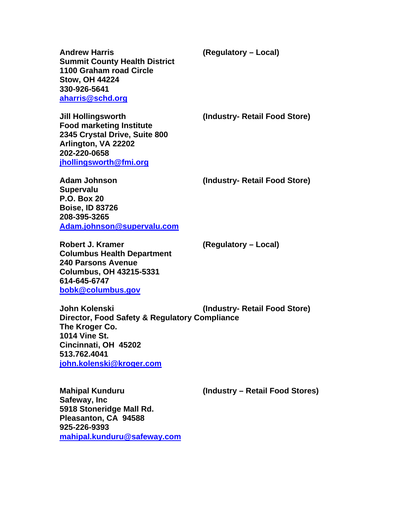**Andrew Harris (Regulatory – Local) Summit County Health District 1100 Graham road Circle Stow, OH 44224 330-926-5641 [aharris@schd.org](mailto:aharris@schd.org)**

**Jill Hollingsworth (Industry- Retail Food Store)** 

**Food marketing Institute 2345 Crystal Drive, Suite 800 Arlington, VA 22202 202-220-0658 [jhollingsworth@fmi.org](mailto:jhollingsworth@fmi.org)**

**Adam Johnson (Industry- Retail Food Store)** 

**Supervalu P.O. Box 20 Boise, ID 83726 208-395-3265 [Adam.johnson@supervalu.com](mailto:Adam.johnson@supervalu.com)**

**Robert J. Kramer (Regulatory – Local) Columbus Health Department 240 Parsons Avenue Columbus, OH 43215-5331 614-645-6747 [bobk@columbus.gov](mailto:bobk@columbus.gov)**

**John Kolenski (Industry- Retail Food Store) Director, Food Safety & Regulatory Compliance The Kroger Co. 1014 Vine St. Cincinnati, OH 45202 513.762.4041 [john.kolenski@kroger.com](mailto:john.kolenski@kroger.com)**

**Mahipal Kunduru (Industry – Retail Food Stores)** 

**Safeway, Inc 5918 Stoneridge Mall Rd. Pleasanton, CA 94588 925-226-9393 [mahipal.kunduru@safeway.com](mailto:mahipal.kunduru@safeway.com)**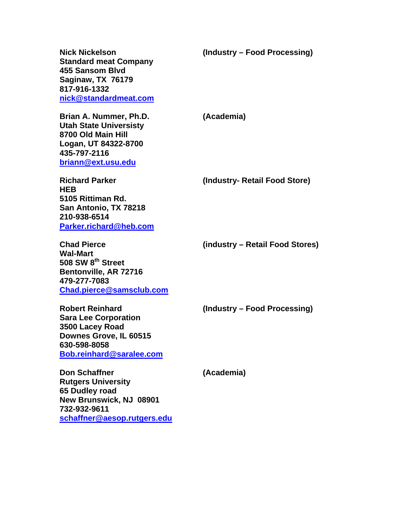**Standard meat Company 455 Sansom Blvd Saginaw, TX 76179 817-916-1332 [nick@standardmeat.com](mailto:nick@standardmeat.com)**

**Nick Nickelson (Industry – Food Processing)** 

**Brian A. Nummer, Ph.D. (Academia) Utah State Universisty 8700 Old Main Hill Logan, UT 84322-8700 435-797-2116 [briann@ext.usu.edu](mailto:briann@ext.usu.edu)**

**HEB 5105 Rittiman Rd. San Antonio, TX 78218 210-938-6514 [Parker.richard@heb.com](mailto:Parker.richard@heb.com)**

**Richard Parker (Industry- Retail Food Store)** 

**Chad Pierce (industry – Retail Food Stores)** 

**Wal-Mart 508 SW 8th Street Bentonville, AR 72716 479-277-7083 [Chad.pierce@samsclub.com](mailto:Chad.pierce@samsclub.com)**

**Robert Reinhard (Industry – Food Processing)** 

**Sara Lee Corporation 3500 Lacey Road Downes Grove, IL 60515 630-598-8058 [Bob.reinhard@saralee.com](mailto:Bob.reinhard@saralee.com)**

**Don Schaffner (Academia) Rutgers University 65 Dudley road New Brunswick, NJ 08901 732-932-9611 [schaffner@aesop.rutgers.edu](mailto:schaffner@aesop.rutgers.edu)**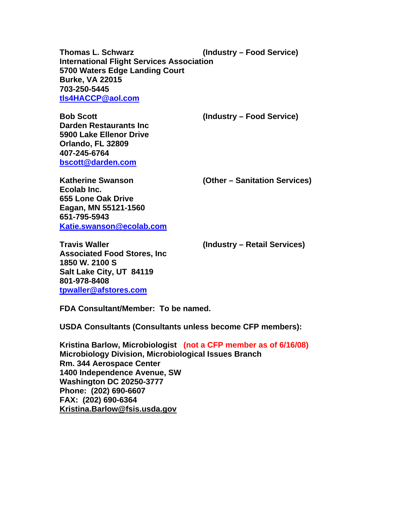**Thomas L. Schwarz (Industry – Food Service) International Flight Services Association 5700 Waters Edge Landing Court Burke, VA 22015 703-250-5445 [tls4HACCP@aol.com](mailto:tls4HACCP@aol.com)**

**Bob Scott (Industry – Food Service)** 

**Darden Restaurants Inc 5900 Lake Ellenor Drive Orlando, FL 32809 407-245-6764 [bscott@darden.com](mailto:bscott@darden.com)**

**Katherine Swanson (Other – Sanitation Services)** 

**Ecolab Inc. 655 Lone Oak Drive Eagan, MN 55121-1560 651-795-5943 [Katie.swanson@ecolab.com](mailto:Katie.swanson@ecolab.com)**

**Travis Waller (Industry – Retail Services) Associated Food Stores, Inc 1850 W. 2100 S Salt Lake City, UT 84119 801-978-8408 [tpwaller@afstores.com](mailto:tpwaller@afstores.com)**

**FDA Consultant/Member: To be named.** 

**USDA Consultants (Consultants unless become CFP members):** 

**Kristina Barlow, Microbiologist (not a CFP member as of 6/16/08) Microbiology Division, Microbiological Issues Branch Rm. 344 Aerospace Center 1400 Independence Avenue, SW Washington DC 20250-3777 Phone: (202) 690-6607 FAX: (202) 690-6364 [Kristina.Barlow@fsis.usda.gov](mailto:Kristina.Barlow@fsis.usda.gov)**